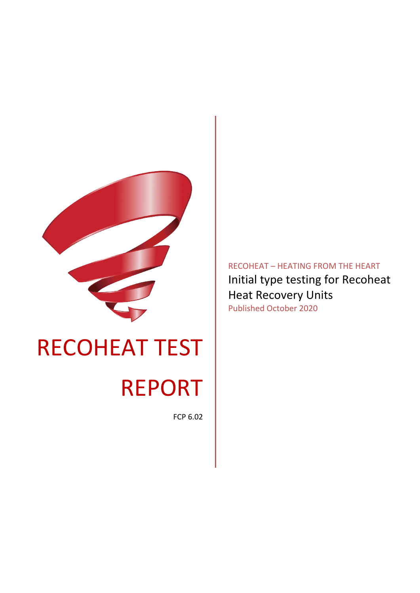

# RECOHEAT TEST REPORT

FCP 6.02

RECOHEAT – HEATING FROM THE HEART Initial type testing for Recoheat Heat Recovery Units Published October 2020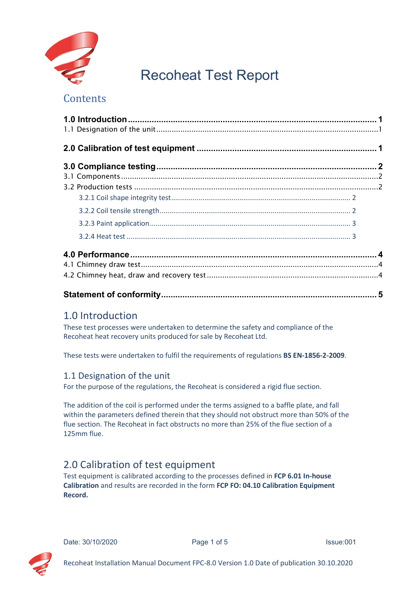

## Recoheat Test Report

## **Contents**

## <span id="page-1-0"></span>1.0 Introduction

These test processes were undertaken to determine the safety and compliance of the Recoheat heat recovery units produced for sale by Recoheat Ltd.

These tests were undertaken to fulfil the requirements of regulations **BS EN-1856-2-2009**.

### <span id="page-1-1"></span>1.1 Designation of the unit

For the purpose of the regulations, the Recoheat is considered a rigid flue section.

The addition of the coil is performed under the terms assigned to a baffle plate, and fall within the parameters defined therein that they should not obstruct more than 50% of the flue section. The Recoheat in fact obstructs no more than 25% of the flue section of a 125mm flue.

## <span id="page-1-2"></span>2.0 Calibration of test equipment

Test equipment is calibrated according to the processes defined in **FCP 6.01 In-house Calibration** and results are recorded in the form **FCP FO: 04.10 Calibration Equipment Record.**



Date: 30/10/2020 **Page 1 of 5** Page 1 of 5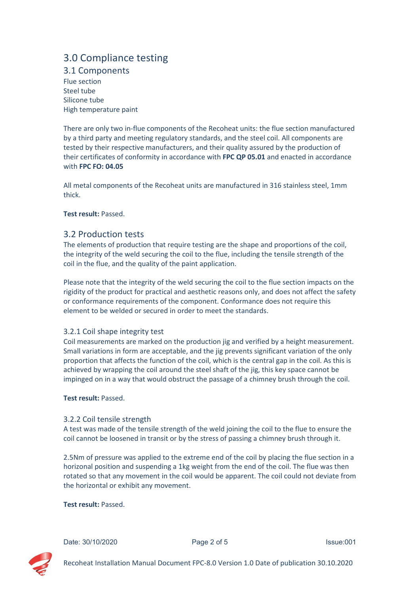## <span id="page-2-0"></span>3.0 Compliance testing

<span id="page-2-1"></span>3.1 Components Flue section Steel tube Silicone tube High temperature paint

There are only two in-flue components of the Recoheat units: the flue section manufactured by a third party and meeting regulatory standards, and the steel coil. All components are tested by their respective manufacturers, and their quality assured by the production of their certificates of conformity in accordance with **FPC QP 05.01** and enacted in accordance with **FPC FO: 04.05**

All metal components of the Recoheat units are manufactured in 316 stainless steel, 1mm thick.

**Test result:** Passed.

#### <span id="page-2-2"></span>3.2 Production tests

The elements of production that require testing are the shape and proportions of the coil, the integrity of the weld securing the coil to the flue, including the tensile strength of the coil in the flue, and the quality of the paint application.

Please note that the integrity of the weld securing the coil to the flue section impacts on the rigidity of the product for practical and aesthetic reasons only, and does not affect the safety or conformance requirements of the component. Conformance does not require this element to be welded or secured in order to meet the standards.

#### <span id="page-2-3"></span>3.2.1 Coil shape integrity test

Coil measurements are marked on the production jig and verified by a height measurement. Small variations in form are acceptable, and the jig prevents significant variation of the only proportion that affects the function of the coil, which is the central gap in the coil. As this is achieved by wrapping the coil around the steel shaft of the jig, this key space cannot be impinged on in a way that would obstruct the passage of a chimney brush through the coil.

#### **Test result:** Passed.

#### <span id="page-2-4"></span>3.2.2 Coil tensile strength

A test was made of the tensile strength of the weld joining the coil to the flue to ensure the coil cannot be loosened in transit or by the stress of passing a chimney brush through it.

2.5Nm of pressure was applied to the extreme end of the coil by placing the flue section in a horizonal position and suspending a 1kg weight from the end of the coil. The flue was then rotated so that any movement in the coil would be apparent. The coil could not deviate from the horizontal or exhibit any movement.

#### **Test result:** Passed.



Date: 30/10/2020 **Page 2 of 5** Issue:001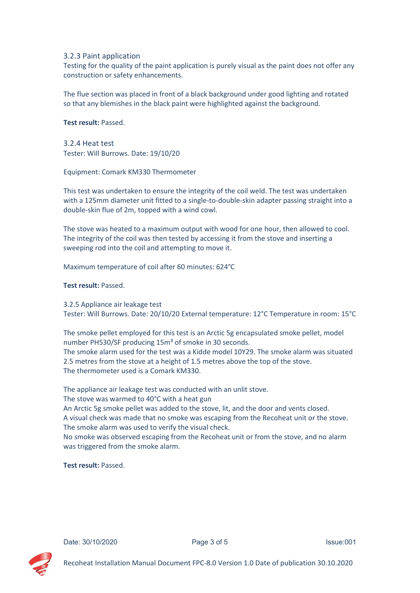#### <span id="page-3-0"></span>3.2.3 Paint application

Testing for the quality of the paint application is purely visual as the paint does not offer any construction or safety enhancements.

The flue section was placed in front of a black background under good lighting and rotated so that any blemishes in the black paint were highlighted against the background.

#### **Test result:** Passed.

<span id="page-3-1"></span>3.2.4 Heat test Tester: Will Burrows. Date: 19/10/20

Equipment: Comark KM330 Thermometer

This test was undertaken to ensure the integrity of the coil weld. The test was undertaken with a 125mm diameter unit fitted to a single-to-double-skin adapter passing straight into a double-skin flue of 2m, topped with a wind cowl.

The stove was heated to a maximum output with wood for one hour, then allowed to cool. The integrity of the coil was then tested by accessing it from the stove and inserting a sweeping rod into the coil and attempting to move it.

Maximum temperature of coil after 60 minutes: 624°C

#### **Test result:** Passed.

3.2.5 Appliance air leakage test Tester: Will Burrows. Date: 20/10/20 External temperature: 12°C Temperature in room: 15°C

The smoke pellet employed for this test is an Arctic 5g encapsulated smoke pellet, model number PH530/SF producing 15m<sup>3</sup> of smoke in 30 seconds.

The smoke alarm used for the test was a Kidde model 10Y29. The smoke alarm was situated 2.5 metres from the stove at a height of 1.5 metres above the top of the stove. The thermometer used is a Comark KM330.

The appliance air leakage test was conducted with an unlit stove.

The stove was warmed to 40°C with a heat gun

An Arctic 5g smoke pellet was added to the stove, lit, and the door and vents closed. A visual check was made that no smoke was escaping from the Recoheat unit or the stove. The smoke alarm was used to verify the visual check.

No smoke was observed escaping from the Recoheat unit or from the stove, and no alarm was triggered from the smoke alarm.

#### **Test result:** Passed.



Date: 30/10/2020 **Page 3 of 5** Issue:001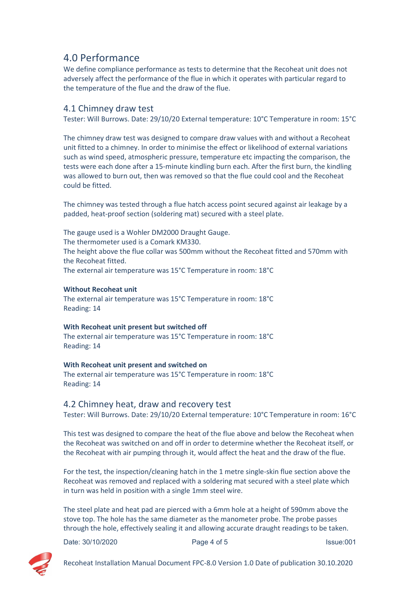## <span id="page-4-0"></span>4.0 Performance

We define compliance performance as tests to determine that the Recoheat unit does not adversely affect the performance of the flue in which it operates with particular regard to the temperature of the flue and the draw of the flue.

#### <span id="page-4-1"></span>4.1 Chimney draw test

Tester: Will Burrows. Date: 29/10/20 External temperature: 10°C Temperature in room: 15°C

The chimney draw test was designed to compare draw values with and without a Recoheat unit fitted to a chimney. In order to minimise the effect or likelihood of external variations such as wind speed, atmospheric pressure, temperature etc impacting the comparison, the tests were each done after a 15-minute kindling burn each. After the first burn, the kindling was allowed to burn out, then was removed so that the flue could cool and the Recoheat could be fitted.

The chimney was tested through a flue hatch access point secured against air leakage by a padded, heat-proof section (soldering mat) secured with a steel plate.

The gauge used is a Wohler DM2000 Draught Gauge. The thermometer used is a Comark KM330. The height above the flue collar was 500mm without the Recoheat fitted and 570mm with the Recoheat fitted. The external air temperature was 15°C Temperature in room: 18°C

#### **Without Recoheat unit**

The external air temperature was 15°C Temperature in room: 18°C Reading: 14

#### **With Recoheat unit present but switched off**

The external air temperature was 15°C Temperature in room: 18°C Reading: 14

#### **With Recoheat unit present and switched on**

The external air temperature was 15°C Temperature in room: 18°C Reading: 14

#### <span id="page-4-2"></span>4.2 Chimney heat, draw and recovery test

Tester: Will Burrows. Date: 29/10/20 External temperature: 10°C Temperature in room: 16°C

This test was designed to compare the heat of the flue above and below the Recoheat when the Recoheat was switched on and off in order to determine whether the Recoheat itself, or the Recoheat with air pumping through it, would affect the heat and the draw of the flue.

For the test, the inspection/cleaning hatch in the 1 metre single-skin flue section above the Recoheat was removed and replaced with a soldering mat secured with a steel plate which in turn was held in position with a single 1mm steel wire.

The steel plate and heat pad are pierced with a 6mm hole at a height of 590mm above the stove top. The hole has the same diameter as the manometer probe. The probe passes through the hole, effectively sealing it and allowing accurate draught readings to be taken.

Date: 30/10/2020 **Page 4 of 5** Page 4 of 5



Recoheat Installation Manual Document FPC-8.0 Version 1.0 Date of publication 30.10.2020